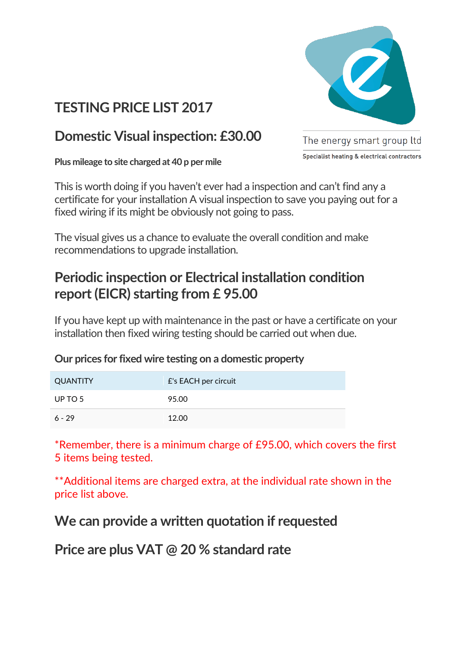

# **TESTING PRICE LIST 2017**

### **Domestic Visual inspection: £30.00**

**Plus mileage to site charged at 40 p per mile** 

The energy smart group ltd Specialist heating & electrical contractors

This is worth doing if you haven't ever had a inspection and can't find any a certificate for your installation A visual inspection to save you paying out for a fixed wiring if its might be obviously not going to pass.

The visual gives us a chance to evaluate the overall condition and make recommendations to upgrade installation.

# **Periodic inspection or Electrical installation condition report (EICR) starting from £ 95.00**

If you have kept up with maintenance in the past or have a certificate on your installation then fixed wiring testing should be carried out when due.

### **Our prices for fixed wire testing on a domestic property**

| QUANTITY | £'s EACH per circuit |
|----------|----------------------|
| UP TO 5  | 95.00                |
| $6 - 29$ | 12.00                |

\*Remember, there is a minimum charge of £95.00, which covers the first 5 items being tested.

\*\*Additional items are charged extra, at the individual rate shown in the price list above.

### **We can provide a written quotation if requested**

**Price are plus VAT @ 20 % standard rate**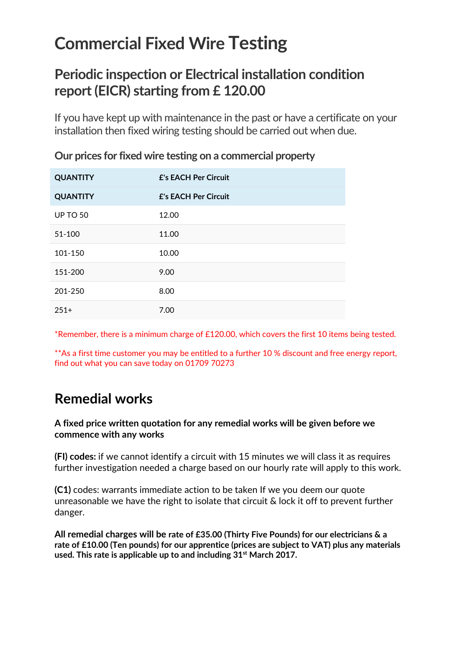# **Commercial Fixed Wire Testing**

# **Periodic inspection or Electrical installation condition report (EICR) starting from £ 120.00**

If you have kept up with maintenance in the past or have a certificate on your installation then fixed wiring testing should be carried out when due.

| <b>QUANTITY</b> | <b>£'s EACH Per Circuit</b> |
|-----------------|-----------------------------|
| <b>QUANTITY</b> | <b>£'s EACH Per Circuit</b> |
| <b>UP TO 50</b> | 12.00                       |
| 51-100          | 11.00                       |
| 101-150         | 10.00                       |
| 151-200         | 9.00                        |
| 201-250         | 8.00                        |
| $251+$          | 7.00                        |

**Our prices for fixed wire testing on a commercial property**

\*Remember, there is a minimum charge of £120.00, which covers the first 10 items being tested.

\*\*As a first time customer you may be entitled to a further 10 % discount and free energy report, find out what you can save today on 01709 70273

# **Remedial works**

### **A fixed price written quotation for any remedial works will be given before we commence with any works**

**(FI) codes:** if we cannot identify a circuit with 15 minutes we will class it as requires further investigation needed a charge based on our hourly rate will apply to this work.

**(C1)** codes: warrants immediate action to be taken If we you deem our quote unreasonable we have the right to isolate that circuit & lock it off to prevent further danger.

**All remedial charges will be rate of £35.00 (Thirty Five Pounds) for our electricians & a rate of £10.00 (Ten pounds) for our apprentice (prices are subject to VAT) plus any materials used. This rate is applicable up to and including 31st March 2017.**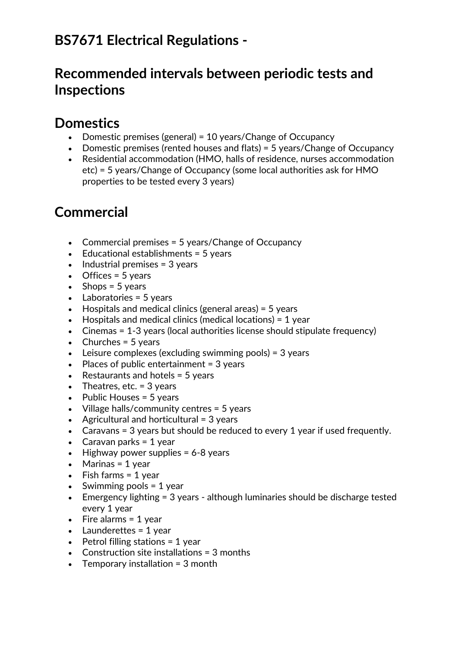# **BS7671 Electrical Regulations -**

### **Recommended intervals between periodic tests and Inspections**

### **Domestics**

- Domestic premises (general) = 10 years/Change of Occupancy
- Domestic premises (rented houses and flats) = 5 years/Change of Occupancy
- Residential accommodation (HMO, halls of residence, nurses accommodation etc) = 5 years/Change of Occupancy (some local authorities ask for HMO properties to be tested every 3 years)

# **Commercial**

- Commercial premises = 5 years/Change of Occupancy
- $\bullet$  Educational establishments = 5 years
- $\bullet$  Industrial premises = 3 years
- $\bullet$  Offices = 5 years
- $\bullet$  Shops = 5 years
- $\bullet$  Laboratories = 5 years
- $\bullet$  Hospitals and medical clinics (general areas) = 5 years
- $\bullet$  Hospitals and medical clinics (medical locations) = 1 year
- Cinemas = 1-3 years (local authorities license should stipulate frequency)
- $\bullet$  Churches = 5 years
- $\bullet$  Leisure complexes (excluding swimming pools) = 3 years
- $\bullet$  Places of public entertainment = 3 years
- Restaurants and hotels  $=$  5 years
- $\bullet$  Theatres, etc. = 3 years
- $\bullet$  Public Houses = 5 years
- Village halls/community centres = 5 years
- Agricultural and horticultural  $=$  3 years
- Caravans = 3 years but should be reduced to every 1 year if used frequently.
- Caravan parks =  $1$  year
- $\bullet$  Highway power supplies = 6-8 years
- $\bullet$  Marinas = 1 year
- $\bullet$  Fish farms = 1 year
- $\bullet$  Swimming pools = 1 year
- Emergency lighting = 3 years although luminaries should be discharge tested every 1 year
- $\bullet$  Fire alarms = 1 year
- $\bullet$  Launderettes = 1 year
- $\bullet$  Petrol filling stations = 1 year
- Construction site installations  $=$  3 months
- $\bullet$  Temporary installation = 3 month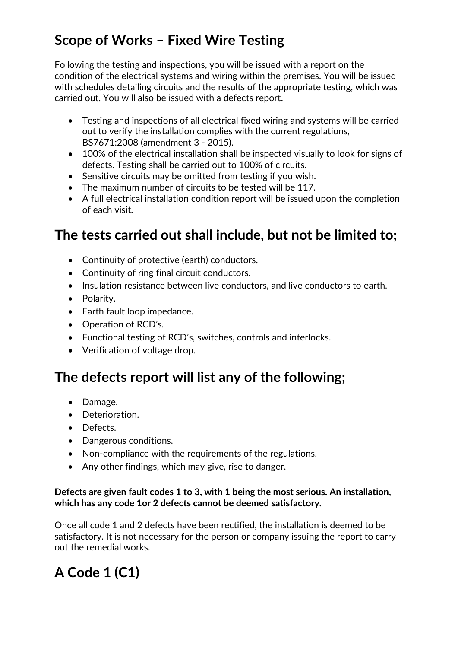# **Scope of Works – Fixed Wire Testing**

Following the testing and inspections, you will be issued with a report on the condition of the electrical systems and wiring within the premises. You will be issued with schedules detailing circuits and the results of the appropriate testing, which was carried out. You will also be issued with a defects report.

- Testing and inspections of all electrical fixed wiring and systems will be carried out to verify the installation complies with the current regulations, BS7671:2008 (amendment 3 - 2015).
- 100% of the electrical installation shall be inspected visually to look for signs of defects. Testing shall be carried out to 100% of circuits.
- Sensitive circuits may be omitted from testing if you wish.
- The maximum number of circuits to be tested will be 117.
- A full electrical installation condition report will be issued upon the completion of each visit.

# **The tests carried out shall include, but not be limited to;**

- Continuity of protective (earth) conductors.
- Continuity of ring final circuit conductors.
- Insulation resistance between live conductors, and live conductors to earth.
- Polarity.
- Earth fault loop impedance.
- Operation of RCD's.
- Functional testing of RCD's, switches, controls and interlocks.
- Verification of voltage drop.

### **The defects report will list any of the following;**

- Damage.
- Deterioration.
- Defects.
- Dangerous conditions.
- Non-compliance with the requirements of the regulations.
- Any other findings, which may give, rise to danger.

### **Defects are given fault codes 1 to 3, with 1 being the most serious. An installation, which has any code 1or 2 defects cannot be deemed satisfactory.**

Once all code 1 and 2 defects have been rectified, the installation is deemed to be satisfactory. It is not necessary for the person or company issuing the report to carry out the remedial works.

# **A Code 1 (C1)**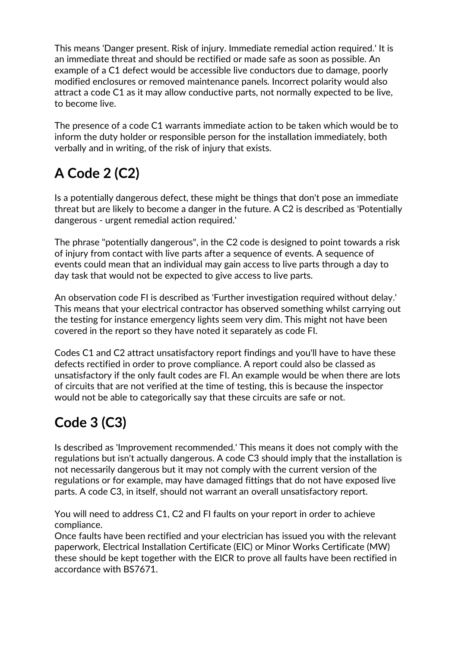This means 'Danger present. Risk of injury. Immediate remedial action required.' It is an immediate threat and should be rectified or made safe as soon as possible. An example of a C1 defect would be accessible live conductors due to damage, poorly modified enclosures or removed maintenance panels. Incorrect polarity would also attract a code C1 as it may allow conductive parts, not normally expected to be live, to become live.

The presence of a code C1 warrants immediate action to be taken which would be to inform the duty holder or responsible person for the installation immediately, both verbally and in writing, of the risk of injury that exists.

# **A Code 2 (C2)**

Is a potentially dangerous defect, these might be things that don't pose an immediate threat but are likely to become a danger in the future. A C2 is described as 'Potentially dangerous - urgent remedial action required.'

The phrase "potentially dangerous", in the C2 code is designed to point towards a risk of injury from contact with live parts after a sequence of events. A sequence of events could mean that an individual may gain access to live parts through a day to day task that would not be expected to give access to live parts.

An observation code FI is described as 'Further investigation required without delay.' This means that your electrical contractor has observed something whilst carrying out the testing for instance emergency lights seem very dim. This might not have been covered in the report so they have noted it separately as code FI.

Codes C1 and C2 attract unsatisfactory report findings and you'll have to have these defects rectified in order to prove compliance. A report could also be classed as unsatisfactory if the only fault codes are FI. An example would be when there are lots of circuits that are not verified at the time of testing, this is because the inspector would not be able to categorically say that these circuits are safe or not.

# **Code 3 (C3)**

Is described as 'Improvement recommended.' This means it does not comply with the regulations but isn't actually dangerous. A code C3 should imply that the installation is not necessarily dangerous but it may not comply with the current version of the regulations or for example, may have damaged fittings that do not have exposed live parts. A code C3, in itself, should not warrant an overall unsatisfactory report.

You will need to address C1, C2 and FI faults on your report in order to achieve compliance.

Once faults have been rectified and your electrician has issued you with the relevant paperwork, Electrical Installation Certificate (EIC) or Minor Works Certificate (MW) these should be kept together with the EICR to prove all faults have been rectified in accordance with BS7671.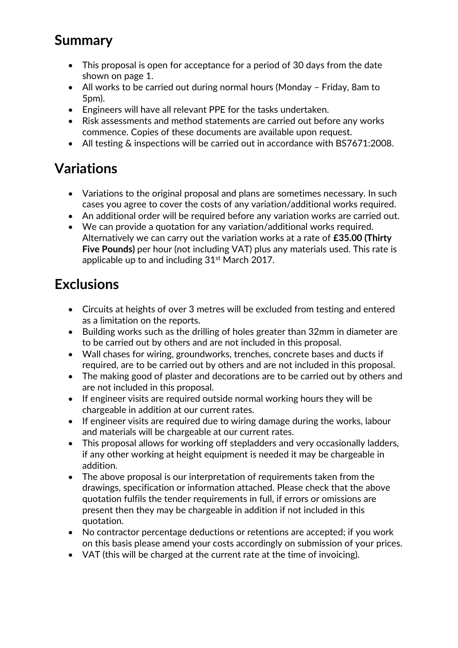# **Summary**

- This proposal is open for acceptance for a period of 30 days from the date shown on page 1.
- All works to be carried out during normal hours (Monday Friday, 8am to 5pm).
- Engineers will have all relevant PPE for the tasks undertaken.
- Risk assessments and method statements are carried out before any works commence. Copies of these documents are available upon request.
- All testing & inspections will be carried out in accordance with BS7671:2008.

### **Variations**

- Variations to the original proposal and plans are sometimes necessary. In such cases you agree to cover the costs of any variation/additional works required.
- An additional order will be required before any variation works are carried out.
- We can provide a quotation for any variation/additional works required. Alternatively we can carry out the variation works at a rate of **£35.00 (Thirty Five Pounds)** per hour (not including VAT) plus any materials used. This rate is applicable up to and including 31<sup>st</sup> March 2017.

# **Exclusions**

- Circuits at heights of over 3 metres will be excluded from testing and entered as a limitation on the reports.
- Building works such as the drilling of holes greater than 32mm in diameter are to be carried out by others and are not included in this proposal.
- Wall chases for wiring, groundworks, trenches, concrete bases and ducts if required, are to be carried out by others and are not included in this proposal.
- The making good of plaster and decorations are to be carried out by others and are not included in this proposal.
- If engineer visits are required outside normal working hours they will be chargeable in addition at our current rates.
- If engineer visits are required due to wiring damage during the works, labour and materials will be chargeable at our current rates.
- This proposal allows for working off stepladders and very occasionally ladders, if any other working at height equipment is needed it may be chargeable in addition.
- The above proposal is our interpretation of requirements taken from the drawings, specification or information attached. Please check that the above quotation fulfils the tender requirements in full, if errors or omissions are present then they may be chargeable in addition if not included in this quotation.
- No contractor percentage deductions or retentions are accepted; if you work on this basis please amend your costs accordingly on submission of your prices.
- VAT (this will be charged at the current rate at the time of invoicing).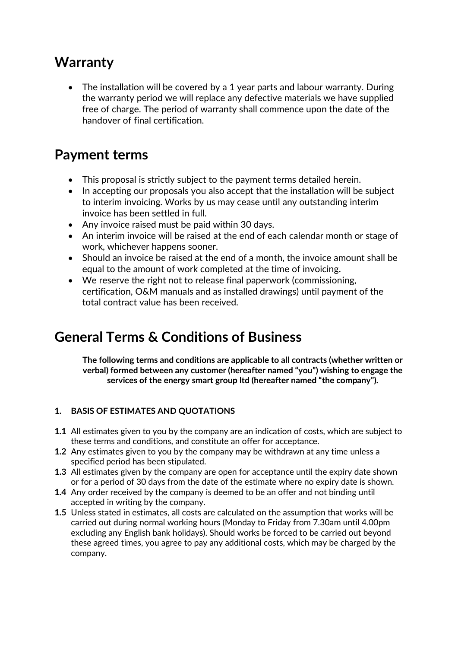### **Warranty**

• The installation will be covered by a 1 year parts and labour warranty. During the warranty period we will replace any defective materials we have supplied free of charge. The period of warranty shall commence upon the date of the handover of final certification.

### **Payment terms**

- This proposal is strictly subject to the payment terms detailed herein.
- In accepting our proposals you also accept that the installation will be subject to interim invoicing. Works by us may cease until any outstanding interim invoice has been settled in full.
- Any invoice raised must be paid within 30 days.
- An interim invoice will be raised at the end of each calendar month or stage of work, whichever happens sooner.
- Should an invoice be raised at the end of a month, the invoice amount shall be equal to the amount of work completed at the time of invoicing.
- We reserve the right not to release final paperwork (commissioning, certification, O&M manuals and as installed drawings) until payment of the total contract value has been received.

### **General Terms & Conditions of Business**

**The following terms and conditions are applicable to all contracts (whether written or verbal) formed between any customer (hereafter named "you") wishing to engage the services of the energy smart group ltd (hereafter named "the company").**

### **1. BASIS OF ESTIMATES AND QUOTATIONS**

- **1.1** All estimates given to you by the company are an indication of costs, which are subject to these terms and conditions, and constitute an offer for acceptance.
- **1.2** Any estimates given to you by the company may be withdrawn at any time unless a specified period has been stipulated.
- **1.3** All estimates given by the company are open for acceptance until the expiry date shown or for a period of 30 days from the date of the estimate where no expiry date is shown.
- **1.4** Any order received by the company is deemed to be an offer and not binding until accepted in writing by the company.
- **1.5** Unless stated in estimates, all costs are calculated on the assumption that works will be carried out during normal working hours (Monday to Friday from 7.30am until 4.00pm excluding any English bank holidays). Should works be forced to be carried out beyond these agreed times, you agree to pay any additional costs, which may be charged by the company.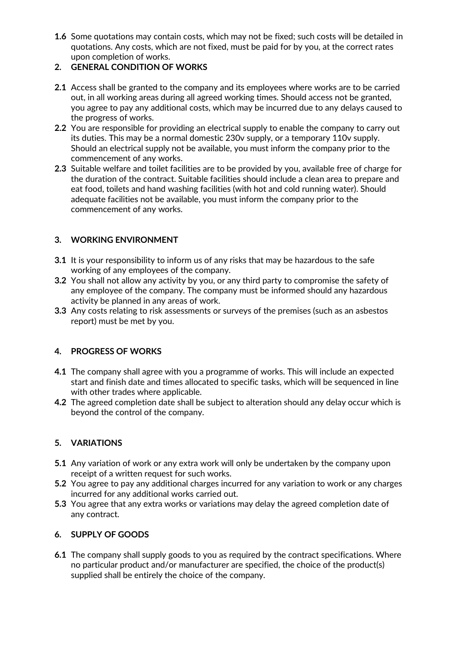**1.6** Some quotations may contain costs, which may not be fixed; such costs will be detailed in quotations. Any costs, which are not fixed, must be paid for by you, at the correct rates upon completion of works.

#### **2. GENERAL CONDITION OF WORKS**

- **2.1** Access shall be granted to the company and its employees where works are to be carried out, in all working areas during all agreed working times. Should access not be granted, you agree to pay any additional costs, which may be incurred due to any delays caused to the progress of works.
- **2.2** You are responsible for providing an electrical supply to enable the company to carry out its duties. This may be a normal domestic 230v supply, or a temporary 110v supply. Should an electrical supply not be available, you must inform the company prior to the commencement of any works.
- **2.3** Suitable welfare and toilet facilities are to be provided by you, available free of charge for the duration of the contract. Suitable facilities should include a clean area to prepare and eat food, toilets and hand washing facilities (with hot and cold running water). Should adequate facilities not be available, you must inform the company prior to the commencement of any works.

#### **3. WORKING ENVIRONMENT**

- **3.1** It is your responsibility to inform us of any risks that may be hazardous to the safe working of any employees of the company.
- **3.2** You shall not allow any activity by you, or any third party to compromise the safety of any employee of the company. The company must be informed should any hazardous activity be planned in any areas of work.
- **3.3** Any costs relating to risk assessments or surveys of the premises (such as an asbestos report) must be met by you.

#### **4. PROGRESS OF WORKS**

- **4.1** The company shall agree with you a programme of works. This will include an expected start and finish date and times allocated to specific tasks, which will be sequenced in line with other trades where applicable.
- **4.2** The agreed completion date shall be subject to alteration should any delay occur which is beyond the control of the company.

#### **5. VARIATIONS**

- **5.1** Any variation of work or any extra work will only be undertaken by the company upon receipt of a written request for such works.
- **5.2** You agree to pay any additional charges incurred for any variation to work or any charges incurred for any additional works carried out.
- **5.3** You agree that any extra works or variations may delay the agreed completion date of any contract.

#### **6. SUPPLY OF GOODS**

**6.1** The company shall supply goods to you as required by the contract specifications. Where no particular product and/or manufacturer are specified, the choice of the product(s) supplied shall be entirely the choice of the company.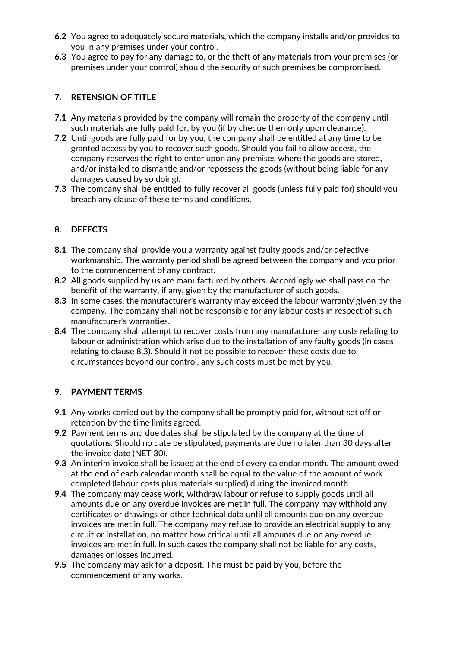- **6.2** You agree to adequately secure materials, which the company installs and/or provides to you in any premises under your control.
- **6.3** You agree to pay for any damage to, or the theft of any materials from your premises (or premises under your control) should the security of such premises be compromised.

#### **7. RETENSION OF TITLE**

- **7.1** Any materials provided by the company will remain the property of the company until such materials are fully paid for, by you (if by cheque then only upon clearance).
- **7.2** Until goods are fully paid for by you, the company shall be entitled at any time to be granted access by you to recover such goods. Should you fail to allow access, the company reserves the right to enter upon any premises where the goods are stored, and/or installed to dismantle and/or repossess the goods (without being liable for any damages caused by so doing).
- **7.3** The company shall be entitled to fully recover all goods (unless fully paid for) should you breach any clause of these terms and conditions.

#### **8. DEFECTS**

- **8.1** The company shall provide you a warranty against faulty goods and/or defective workmanship. The warranty period shall be agreed between the company and you prior to the commencement of any contract.
- **8.2** All goods supplied by us are manufactured by others. Accordingly we shall pass on the benefit of the warranty, if any, given by the manufacturer of such goods.
- **8.3** In some cases, the manufacturer's warranty may exceed the labour warranty given by the company. The company shall not be responsible for any labour costs in respect of such manufacturer's warranties.
- **8.4** The company shall attempt to recover costs from any manufacturer any costs relating to labour or administration which arise due to the installation of any faulty goods (in cases relating to clause 8.3). Should it not be possible to recover these costs due to circumstances beyond our control, any such costs must be met by you.

#### **9. PAYMENT TERMS**

- **9.1** Any works carried out by the company shall be promptly paid for, without set off or retention by the time limits agreed.
- **9.2** Payment terms and due dates shall be stipulated by the company at the time of quotations. Should no date be stipulated, payments are due no later than 30 days after the invoice date (NET 30).
- **9.3** An interim invoice shall be issued at the end of every calendar month. The amount owed at the end of each calendar month shall be equal to the value of the amount of work completed (labour costs plus materials supplied) during the invoiced month.
- **9.4** The company may cease work, withdraw labour or refuse to supply goods until all amounts due on any overdue invoices are met in full. The company may withhold any certificates or drawings or other technical data until all amounts due on any overdue invoices are met in full. The company may refuse to provide an electrical supply to any circuit or installation, no matter how critical until all amounts due on any overdue invoices are met in full. In such cases the company shall not be liable for any costs, damages or losses incurred.
- **9.5** The company may ask for a deposit. This must be paid by you, before the commencement of any works.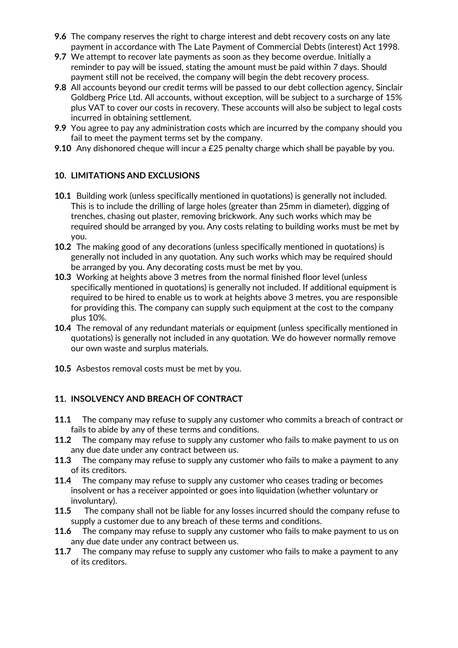- **9.6** The company reserves the right to charge interest and debt recovery costs on any late payment in accordance with The Late Payment of Commercial Debts (interest) Act 1998.
- **9.7** We attempt to recover late payments as soon as they become overdue. Initially a reminder to pay will be issued, stating the amount must be paid within 7 days. Should payment still not be received, the company will begin the debt recovery process.
- **9.8** All accounts beyond our credit terms will be passed to our debt collection agency, Sinclair Goldberg Price Ltd. All accounts, without exception, will be subject to a surcharge of 15% plus VAT to cover our costs in recovery. These accounts will also be subject to legal costs incurred in obtaining settlement.
- **9.9** You agree to pay any administration costs which are incurred by the company should you fail to meet the payment terms set by the company.
- **9.10** Any dishonored cheque will incur a £25 penalty charge which shall be payable by you.

#### **10. LIMITATIONS AND EXCLUSIONS**

- **10.1** Building work (unless specifically mentioned in quotations) is generally not included. This is to include the drilling of large holes (greater than 25mm in diameter), digging of trenches, chasing out plaster, removing brickwork. Any such works which may be required should be arranged by you. Any costs relating to building works must be met by you.
- **10.2** The making good of any decorations (unless specifically mentioned in quotations) is generally not included in any quotation. Any such works which may be required should be arranged by you. Any decorating costs must be met by you.
- **10.3** Working at heights above 3 metres from the normal finished floor level (unless specifically mentioned in quotations) is generally not included. If additional equipment is required to be hired to enable us to work at heights above 3 metres, you are responsible for providing this. The company can supply such equipment at the cost to the company plus 10%.
- **10.4** The removal of any redundant materials or equipment (unless specifically mentioned in quotations) is generally not included in any quotation. We do however normally remove our own waste and surplus materials.
- **10.5** Asbestos removal costs must be met by you.

#### **11. INSOLVENCY AND BREACH OF CONTRACT**

- **11.1** The company may refuse to supply any customer who commits a breach of contract or fails to abide by any of these terms and conditions.
- **11.2** The company may refuse to supply any customer who fails to make payment to us on any due date under any contract between us.
- **11.3** The company may refuse to supply any customer who fails to make a payment to any of its creditors.
- **11.4** The company may refuse to supply any customer who ceases trading or becomes insolvent or has a receiver appointed or goes into liquidation (whether voluntary or involuntary).
- **11.5** The company shall not be liable for any losses incurred should the company refuse to supply a customer due to any breach of these terms and conditions.
- **11.6** The company may refuse to supply any customer who fails to make payment to us on any due date under any contract between us.
- **11.7** The company may refuse to supply any customer who fails to make a payment to any of its creditors.